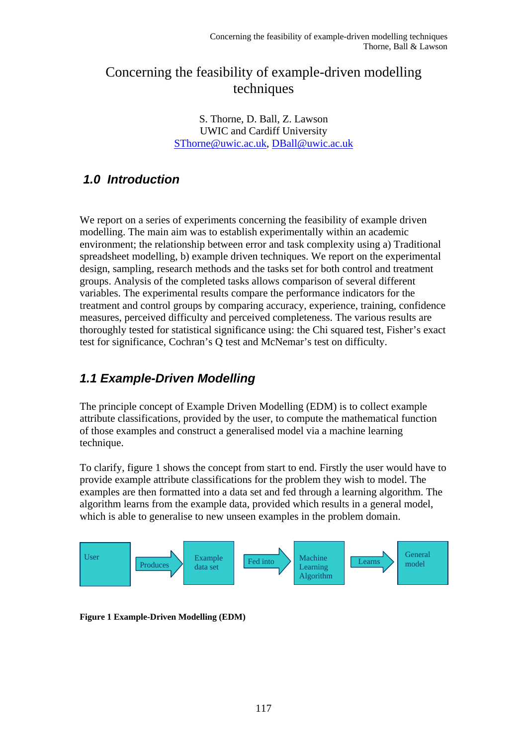# Concerning the feasibility of example-driven modelling techniques

S. Thorne, D. Ball, Z. Lawson UWIC and Cardiff University [SThorne@uwic.ac.uk,](mailto:SThorne@uwic.ac.uk) [DBall@uwic.ac.uk](mailto:DBall@uwic.ac.uk) 

# *1.0 Introduction*

We report on a series of experiments concerning the feasibility of example driven modelling. The main aim was to establish experimentally within an academic environment; the relationship between error and task complexity using a) Traditional spreadsheet modelling, b) example driven techniques. We report on the experimental design, sampling, research methods and the tasks set for both control and treatment groups. Analysis of the completed tasks allows comparison of several different variables. The experimental results compare the performance indicators for the treatment and control groups by comparing accuracy, experience, training, confidence measures, perceived difficulty and perceived completeness. The various results are thoroughly tested for statistical significance using: the Chi squared test, Fisher's exact test for significance, Cochran's Q test and McNemar's test on difficulty.

# *1.1 Example-Driven Modelling*

The principle concept of Example Driven Modelling (EDM) is to collect example attribute classifications, provided by the user, to compute the mathematical function of those examples and construct a generalised model via a machine learning technique.

To clarify, figure 1 shows the concept from start to end. Firstly the user would have to provide example attribute classifications for the problem they wish to model. The examples are then formatted into a data set and fed through a learning algorithm. The algorithm learns from the example data, provided which results in a general model, which is able to generalise to new unseen examples in the problem domain.



**Figure 1 Example-Driven Modelling (EDM)**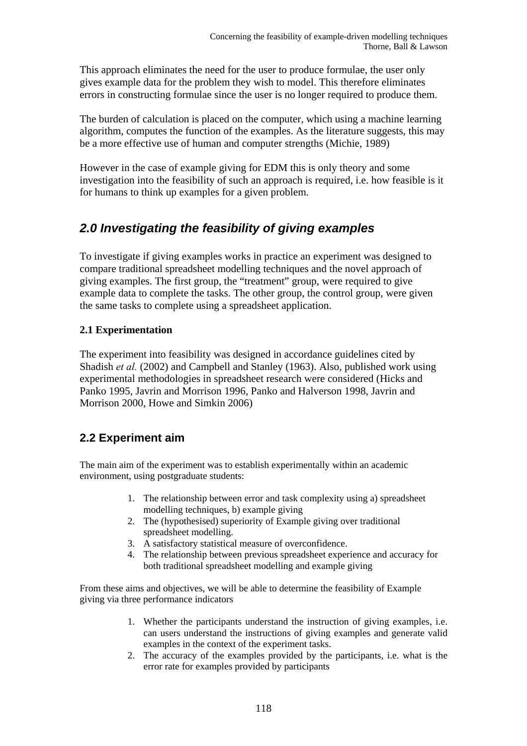This approach eliminates the need for the user to produce formulae, the user only gives example data for the problem they wish to model. This therefore eliminates errors in constructing formulae since the user is no longer required to produce them.

The burden of calculation is placed on the computer, which using a machine learning algorithm, computes the function of the examples. As the literature suggests, this may be a more effective use of human and computer strengths (Michie, 1989)

However in the case of example giving for EDM this is only theory and some investigation into the feasibility of such an approach is required, i.e. how feasible is it for humans to think up examples for a given problem.

# *2.0 Investigating the feasibility of giving examples*

To investigate if giving examples works in practice an experiment was designed to compare traditional spreadsheet modelling techniques and the novel approach of giving examples. The first group, the "treatment" group, were required to give example data to complete the tasks. The other group, the control group, were given the same tasks to complete using a spreadsheet application.

### **2.1 Experimentation**

The experiment into feasibility was designed in accordance guidelines cited by Shadish *et al.* (2002) and Campbell and Stanley (1963). Also, published work using experimental methodologies in spreadsheet research were considered (Hicks and Panko 1995, Javrin and Morrison 1996, Panko and Halverson 1998, Javrin and Morrison 2000, Howe and Simkin 2006)

## **2.2 Experiment aim**

The main aim of the experiment was to establish experimentally within an academic environment, using postgraduate students:

- 1. The relationship between error and task complexity using a) spreadsheet modelling techniques, b) example giving
- 2. The (hypothesised) superiority of Example giving over traditional spreadsheet modelling.
- 3. A satisfactory statistical measure of overconfidence.
- 4. The relationship between previous spreadsheet experience and accuracy for both traditional spreadsheet modelling and example giving

From these aims and objectives, we will be able to determine the feasibility of Example giving via three performance indicators

- 1. Whether the participants understand the instruction of giving examples, i.e. can users understand the instructions of giving examples and generate valid examples in the context of the experiment tasks.
- 2. The accuracy of the examples provided by the participants, i.e. what is the error rate for examples provided by participants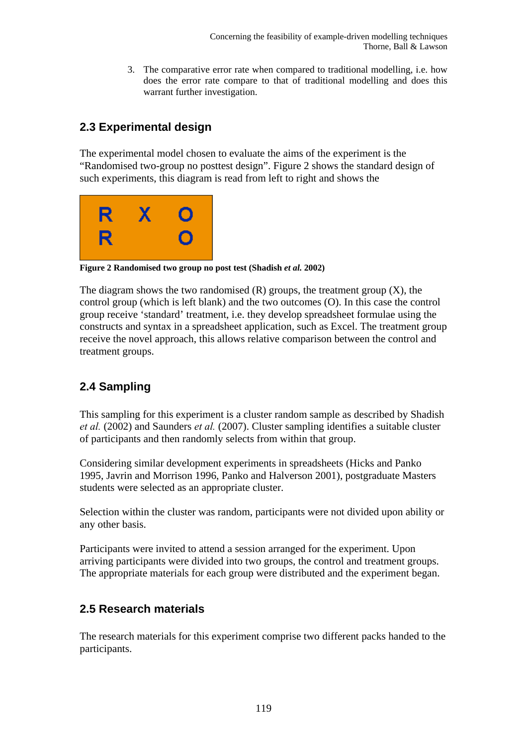Concerning the feasibility of example-driven modelling techniques Thorne, Ball & Lawson

3. The comparative error rate when compared to traditional modelling, i.e. how does the error rate compare to that of traditional modelling and does this warrant further investigation.

## **2.3 Experimental design**

The experimental model chosen to evaluate the aims of the experiment is the "Randomised two-group no posttest design". Figure 2 shows the standard design of such experiments, this diagram is read from left to right and shows the



**Figure 2 Randomised two group no post test (Shadish** *et al.* **2002)**

The diagram shows the two randomised  $(R)$  groups, the treatment group  $(X)$ , the control group (which is left blank) and the two outcomes (O). In this case the control group receive 'standard' treatment, i.e. they develop spreadsheet formulae using the constructs and syntax in a spreadsheet application, such as Excel. The treatment group receive the novel approach, this allows relative comparison between the control and treatment groups.

## **2.4 Sampling**

This sampling for this experiment is a cluster random sample as described by Shadish *et al.* (2002) and Saunders *et al.* (2007). Cluster sampling identifies a suitable cluster of participants and then randomly selects from within that group.

Considering similar development experiments in spreadsheets (Hicks and Panko 1995, Javrin and Morrison 1996, Panko and Halverson 2001), postgraduate Masters students were selected as an appropriate cluster.

Selection within the cluster was random, participants were not divided upon ability or any other basis.

Participants were invited to attend a session arranged for the experiment. Upon arriving participants were divided into two groups, the control and treatment groups. The appropriate materials for each group were distributed and the experiment began.

### **2.5 Research materials**

The research materials for this experiment comprise two different packs handed to the participants.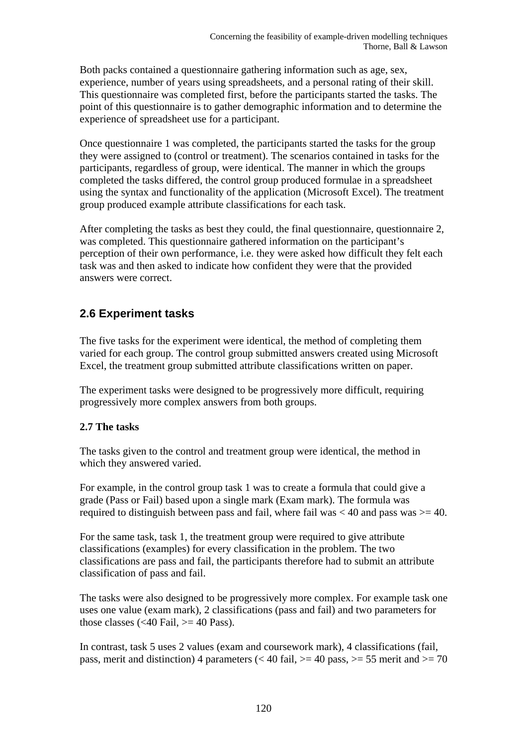Both packs contained a questionnaire gathering information such as age, sex, experience, number of years using spreadsheets, and a personal rating of their skill. This questionnaire was completed first, before the participants started the tasks. The point of this questionnaire is to gather demographic information and to determine the experience of spreadsheet use for a participant.

Once questionnaire 1 was completed, the participants started the tasks for the group they were assigned to (control or treatment). The scenarios contained in tasks for the participants, regardless of group, were identical. The manner in which the groups completed the tasks differed, the control group produced formulae in a spreadsheet using the syntax and functionality of the application (Microsoft Excel). The treatment group produced example attribute classifications for each task.

After completing the tasks as best they could, the final questionnaire, questionnaire 2, was completed. This questionnaire gathered information on the participant's perception of their own performance, i.e. they were asked how difficult they felt each task was and then asked to indicate how confident they were that the provided answers were correct.

## **2.6 Experiment tasks**

The five tasks for the experiment were identical, the method of completing them varied for each group. The control group submitted answers created using Microsoft Excel, the treatment group submitted attribute classifications written on paper.

The experiment tasks were designed to be progressively more difficult, requiring progressively more complex answers from both groups.

### **2.7 The tasks**

The tasks given to the control and treatment group were identical, the method in which they answered varied.

For example, in the control group task 1 was to create a formula that could give a grade (Pass or Fail) based upon a single mark (Exam mark). The formula was required to distinguish between pass and fail, where fail was  $< 40$  and pass was  $> = 40$ .

For the same task, task 1, the treatment group were required to give attribute classifications (examples) for every classification in the problem. The two classifications are pass and fail, the participants therefore had to submit an attribute classification of pass and fail.

The tasks were also designed to be progressively more complex. For example task one uses one value (exam mark), 2 classifications (pass and fail) and two parameters for those classes  $\left( \langle 40 \rangle \right)$  Fail,  $\right) = 40 \rangle$  Pass).

In contrast, task 5 uses 2 values (exam and coursework mark), 4 classifications (fail, pass, merit and distinction) 4 parameters ( $<$  40 fail,  $>=$  40 pass,  $>=$  55 merit and  $>=$  70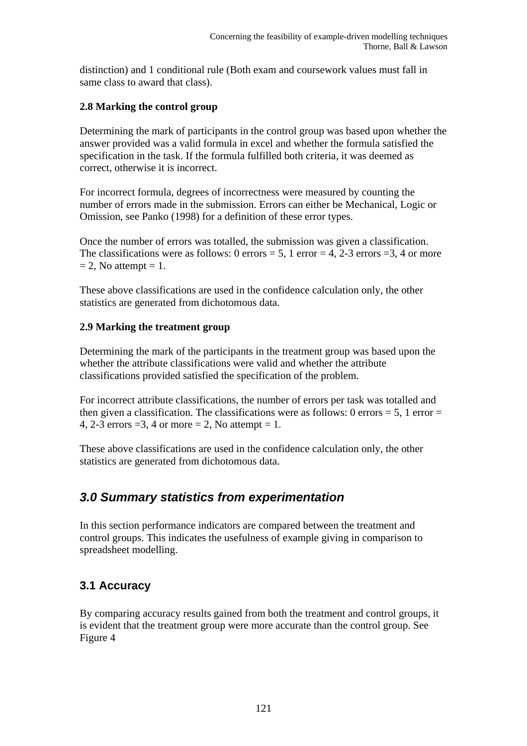distinction) and 1 conditional rule (Both exam and coursework values must fall in same class to award that class).

### **2.8 Marking the control group**

Determining the mark of participants in the control group was based upon whether the answer provided was a valid formula in excel and whether the formula satisfied the specification in the task. If the formula fulfilled both criteria, it was deemed as correct, otherwise it is incorrect.

For incorrect formula, degrees of incorrectness were measured by counting the number of errors made in the submission. Errors can either be Mechanical, Logic or Omission, see Panko (1998) for a definition of these error types.

Once the number of errors was totalled, the submission was given a classification. The classifications were as follows:  $0$  errors = 5, 1 error = 4, 2-3 errors = 3, 4 or more  $= 2$ , No attempt  $= 1$ .

These above classifications are used in the confidence calculation only, the other statistics are generated from dichotomous data.

### **2.9 Marking the treatment group**

Determining the mark of the participants in the treatment group was based upon the whether the attribute classifications were valid and whether the attribute classifications provided satisfied the specification of the problem.

For incorrect attribute classifications, the number of errors per task was totalled and then given a classification. The classifications were as follows: 0 errors  $= 5$ , 1 error  $=$ 4, 2-3 errors  $=3$ , 4 or more  $= 2$ , No attempt  $= 1$ .

These above classifications are used in the confidence calculation only, the other statistics are generated from dichotomous data.

# *3.0 Summary statistics from experimentation*

In this section performance indicators are compared between the treatment and control groups. This indicates the usefulness of example giving in comparison to spreadsheet modelling.

## **3.1 Accuracy**

By comparing accuracy results gained from both the treatment and control groups, it is evident that the treatment group were more accurate than the control group. See Figure 4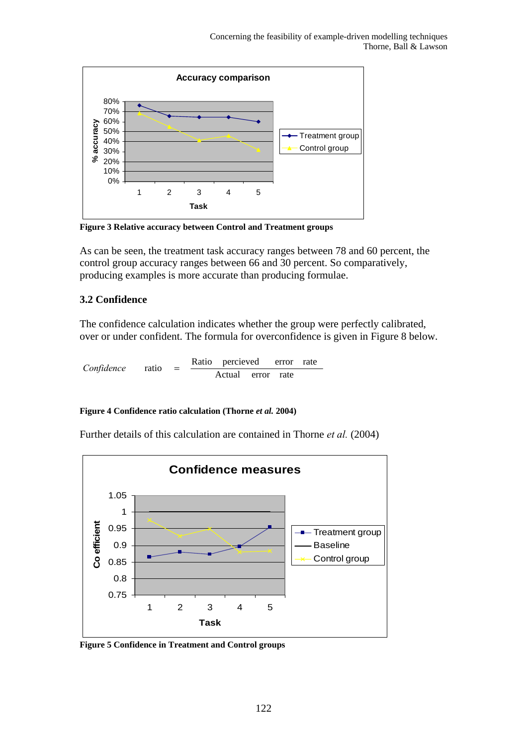

**Figure 3 Relative accuracy between Control and Treatment groups** 

As can be seen, the treatment task accuracy ranges between 78 and 60 percent, the control group accuracy ranges between 66 and 30 percent. So comparatively, producing examples is more accurate than producing formulae.

### **3.2 Confidence**

The confidence calculation indicates whether the group were perfectly calibrated, over or under confident. The formula for overconfidence is given in Figure 8 below.

Actual error rate  $Confidence$  ratio =  $Ratio$  percieved error rate

### **Figure 4 Confidence ratio calculation (Thorne** *et al.* **2004)**

Further details of this calculation are contained in Thorne *et al.* (2004)



**Figure 5 Confidence in Treatment and Control groups**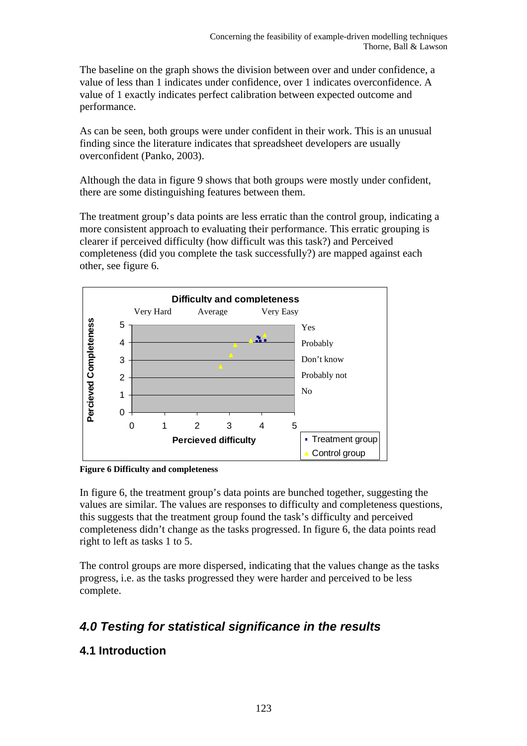The baseline on the graph shows the division between over and under confidence, a value of less than 1 indicates under confidence, over 1 indicates overconfidence. A value of 1 exactly indicates perfect calibration between expected outcome and performance.

As can be seen, both groups were under confident in their work. This is an unusual finding since the literature indicates that spreadsheet developers are usually overconfident (Panko, 2003).

Although the data in figure 9 shows that both groups were mostly under confident, there are some distinguishing features between them.

The treatment group's data points are less erratic than the control group, indicating a more consistent approach to evaluating their performance. This erratic grouping is clearer if perceived difficulty (how difficult was this task?) and Perceived completeness (did you complete the task successfully?) are mapped against each other, see figure 6.



**Figure 6 Difficulty and completeness**

In figure 6, the treatment group's data points are bunched together, suggesting the values are similar. The values are responses to difficulty and completeness questions, this suggests that the treatment group found the task's difficulty and perceived completeness didn't change as the tasks progressed. In figure 6, the data points read right to left as tasks 1 to 5.

The control groups are more dispersed, indicating that the values change as the tasks progress, i.e. as the tasks progressed they were harder and perceived to be less complete.

# *4.0 Testing for statistical significance in the results*

### **4.1 Introduction**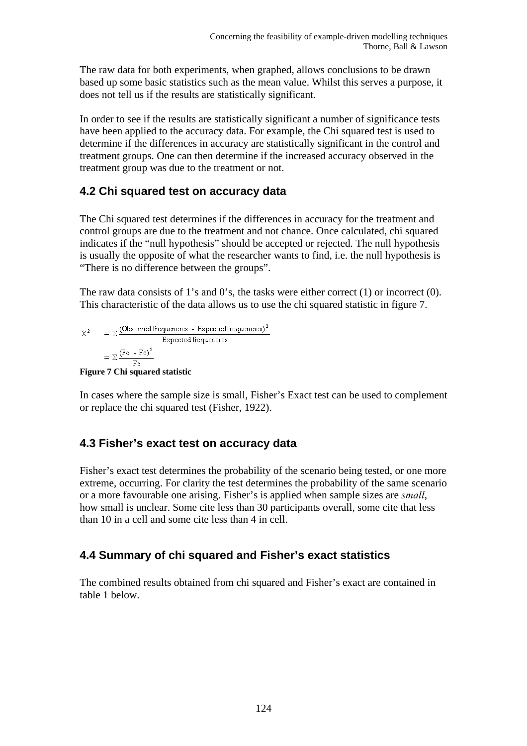The raw data for both experiments, when graphed, allows conclusions to be drawn based up some basic statistics such as the mean value. Whilst this serves a purpose, it does not tell us if the results are statistically significant.

In order to see if the results are statistically significant a number of significance tests have been applied to the accuracy data. For example, the Chi squared test is used to determine if the differences in accuracy are statistically significant in the control and treatment groups. One can then determine if the increased accuracy observed in the treatment group was due to the treatment or not.

### **4.2 Chi squared test on accuracy data**

The Chi squared test determines if the differences in accuracy for the treatment and control groups are due to the treatment and not chance. Once calculated, chi squared indicates if the "null hypothesis" should be accepted or rejected. The null hypothesis is usually the opposite of what the researcher wants to find, i.e. the null hypothesis is "There is no difference between the groups".

The raw data consists of 1's and 0's, the tasks were either correct (1) or incorrect (0). This characteristic of the data allows us to use the chi squared statistic in figure 7.

 $X^2 = \sum \frac{(\text{Observed frequencies - Expected frequencies})^2}{\text{Expected frequencies}}$ <br>=  $\sum \frac{(\text{Fo - Fe})^2}{\text{Fe}}$ <br>**Figure 7 Chi squared statistic**  $X^2$ 

In cases where the sample size is small, Fisher's Exact test can be used to complement or replace the chi squared test (Fisher, 1922).

### **4.3 Fisher's exact test on accuracy data**

Fisher's exact test determines the probability of the scenario being tested, or one more extreme, occurring. For clarity the test determines the probability of the same scenario or a more favourable one arising. Fisher's is applied when sample sizes are *small*, how small is unclear. Some cite less than 30 participants overall, some cite that less than 10 in a cell and some cite less than 4 in cell.

### **4.4 Summary of chi squared and Fisher's exact statistics**

The combined results obtained from chi squared and Fisher's exact are contained in table 1 below.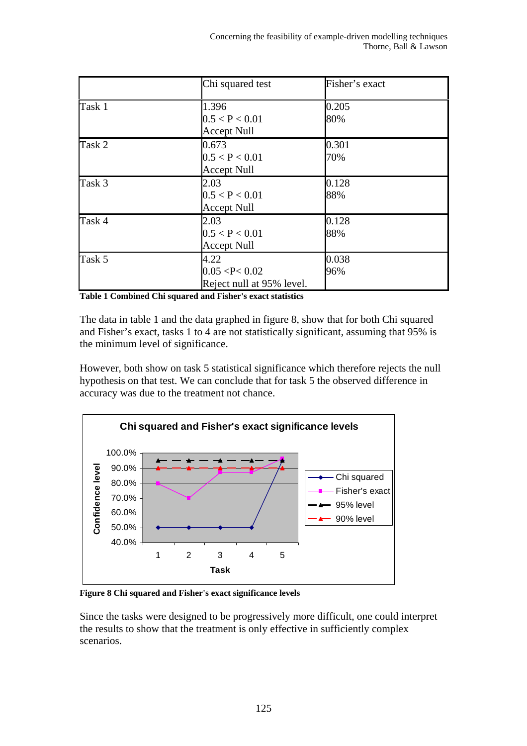|        | Chi squared test                                     | Fisher's exact |
|--------|------------------------------------------------------|----------------|
| Task 1 | 1.396<br>0.5 < P < 0.01<br><b>Accept Null</b>        | 0.205<br>80%   |
| Task 2 | 0.673<br>0.5 < P < 0.01<br><b>Accept Null</b>        | 0.301<br>70%   |
| Task 3 | 2.03<br>0.5 < P < 0.01<br><b>Accept Null</b>         | 0.128<br>88%   |
| Task 4 | 2.03<br>0.5 < P < 0.01<br><b>Accept Null</b>         | 0.128<br>88%   |
| Task 5 | 4.22<br>0.05 < P < 0.02<br>Reject null at 95% level. | 0.038<br>96%   |

**Table 1 Combined Chi squared and Fisher's exact statistics** 

The data in table 1 and the data graphed in figure 8, show that for both Chi squared and Fisher's exact, tasks 1 to 4 are not statistically significant, assuming that 95% is the minimum level of significance.

However, both show on task 5 statistical significance which therefore rejects the null hypothesis on that test. We can conclude that for task 5 the observed difference in accuracy was due to the treatment not chance.



**Figure 8 Chi squared and Fisher's exact significance levels** 

Since the tasks were designed to be progressively more difficult, one could interpret the results to show that the treatment is only effective in sufficiently complex scenarios.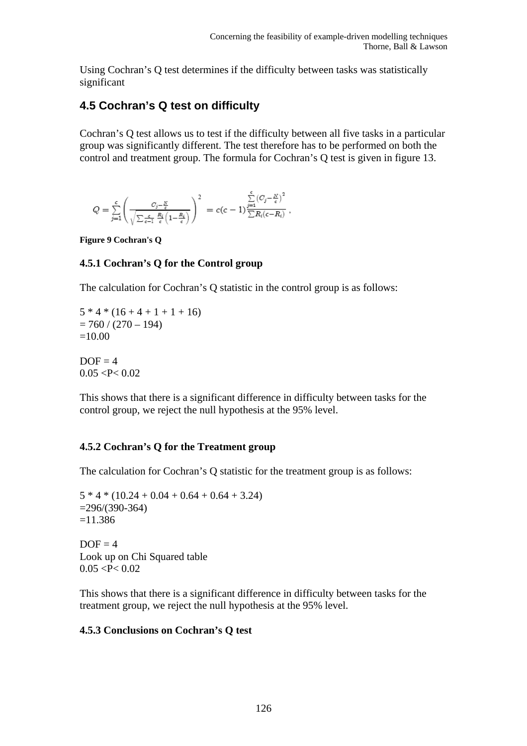Using Cochran's Q test determines if the difficulty between tasks was statistically significant

## **4.5 Cochran's Q test on difficulty**

Cochran's Q test allows us to test if the difficulty between all five tasks in a particular group was significantly different. The test therefore has to be performed on both the control and treatment group. The formula for Cochran's Q test is given in figure 13.

$$
Q=\sum_{j=1}^c\Biggl(\frac{C_j-\frac{N}{c}}{\sqrt{\sum_{c=1}\frac{R_i}{c}\Bigl(1-\frac{R_i}{c}\Bigr)}}\Biggr)^2\ =c(c-1)\frac{\sum\limits_{j=1}^c\bigl(C_j-\frac{N}{c}\bigr)^2}{\sum R_i(c-R_i)}\ ,
$$

**Figure 9 Cochran's Q** 

### **4.5.1 Cochran's Q for the Control group**

The calculation for Cochran's Q statistic in the control group is as follows:

 $5 * 4 * (16 + 4 + 1 + 1 + 16)$  $= 760 / (270 - 194)$  $=10.00$ 

 $DOF = 4$  $0.05 < P < 0.02$ 

This shows that there is a significant difference in difficulty between tasks for the control group, we reject the null hypothesis at the 95% level.

### **4.5.2 Cochran's Q for the Treatment group**

The calculation for Cochran's Q statistic for the treatment group is as follows:

 $5 * 4 * (10.24 + 0.04 + 0.64 + 0.64 + 3.24)$  $=296/(390-364)$  $=11.386$ 

 $DOF = 4$ Look up on Chi Squared table  $0.05 < P < 0.02$ 

This shows that there is a significant difference in difficulty between tasks for the treatment group, we reject the null hypothesis at the 95% level.

### **4.5.3 Conclusions on Cochran's Q test**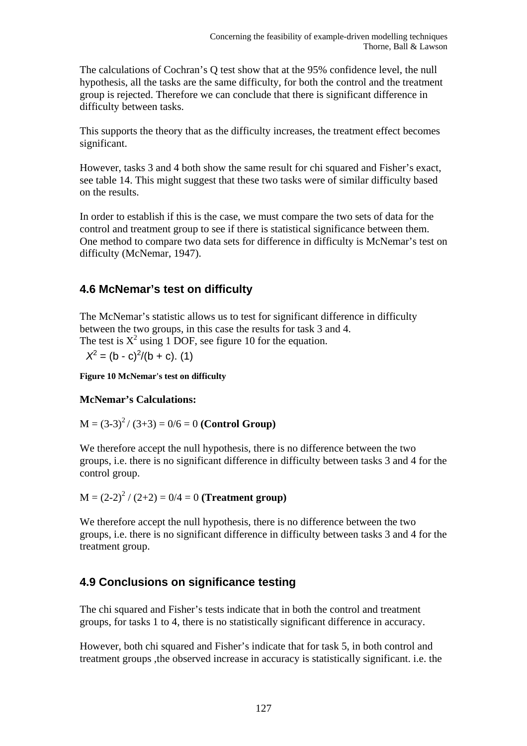The calculations of Cochran's Q test show that at the 95% confidence level, the null hypothesis, all the tasks are the same difficulty, for both the control and the treatment group is rejected. Therefore we can conclude that there is significant difference in difficulty between tasks.

This supports the theory that as the difficulty increases, the treatment effect becomes significant.

However, tasks 3 and 4 both show the same result for chi squared and Fisher's exact, see table 14. This might suggest that these two tasks were of similar difficulty based on the results.

In order to establish if this is the case, we must compare the two sets of data for the control and treatment group to see if there is statistical significance between them. One method to compare two data sets for difference in difficulty is McNemar's test on difficulty (McNemar, 1947).

## **4.6 McNemar's test on difficulty**

The McNemar's statistic allows us to test for significant difference in difficulty between the two groups, in this case the results for task 3 and 4. The test is  $X^2$  using 1 DOF, see figure 10 for the equation.

 $X^2 = (b - c)^2/(b + c)$ . (1)

**Figure 10 McNemar's test on difficulty** 

### **McNemar's Calculations:**

 $M = (3-3)^2 / (3+3) = 0/6 = 0$  (**Control Group**)

We therefore accept the null hypothesis, there is no difference between the two groups, i.e. there is no significant difference in difficulty between tasks 3 and 4 for the control group.

 $M = (2-2)^2 / (2+2) = 0/4 = 0$  (**Treatment group**)

We therefore accept the null hypothesis, there is no difference between the two groups, i.e. there is no significant difference in difficulty between tasks 3 and 4 for the treatment group.

### **4.9 Conclusions on significance testing**

The chi squared and Fisher's tests indicate that in both the control and treatment groups, for tasks 1 to 4, there is no statistically significant difference in accuracy.

However, both chi squared and Fisher's indicate that for task 5, in both control and treatment groups ,the observed increase in accuracy is statistically significant. i.e. the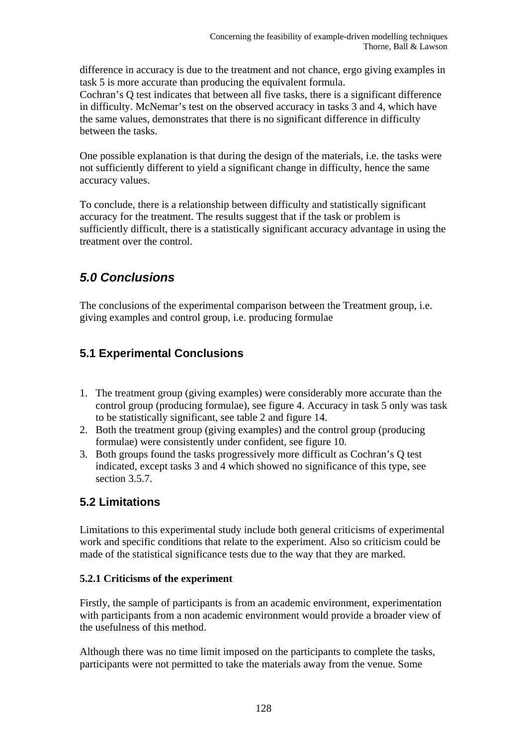difference in accuracy is due to the treatment and not chance, ergo giving examples in task 5 is more accurate than producing the equivalent formula.

Cochran's Q test indicates that between all five tasks, there is a significant difference in difficulty. McNemar's test on the observed accuracy in tasks 3 and 4, which have the same values, demonstrates that there is no significant difference in difficulty between the tasks.

One possible explanation is that during the design of the materials, i.e. the tasks were not sufficiently different to yield a significant change in difficulty, hence the same accuracy values.

To conclude, there is a relationship between difficulty and statistically significant accuracy for the treatment. The results suggest that if the task or problem is sufficiently difficult, there is a statistically significant accuracy advantage in using the treatment over the control.

# *5.0 Conclusions*

The conclusions of the experimental comparison between the Treatment group, i.e. giving examples and control group, i.e. producing formulae

# **5.1 Experimental Conclusions**

- 1. The treatment group (giving examples) were considerably more accurate than the control group (producing formulae), see figure 4. Accuracy in task 5 only was task to be statistically significant, see table 2 and figure 14.
- 2. Both the treatment group (giving examples) and the control group (producing formulae) were consistently under confident, see figure 10.
- 3. Both groups found the tasks progressively more difficult as Cochran's Q test indicated, except tasks 3 and 4 which showed no significance of this type, see section 3.5.7.

## **5.2 Limitations**

Limitations to this experimental study include both general criticisms of experimental work and specific conditions that relate to the experiment. Also so criticism could be made of the statistical significance tests due to the way that they are marked.

### **5.2.1 Criticisms of the experiment**

Firstly, the sample of participants is from an academic environment, experimentation with participants from a non academic environment would provide a broader view of the usefulness of this method.

Although there was no time limit imposed on the participants to complete the tasks, participants were not permitted to take the materials away from the venue. Some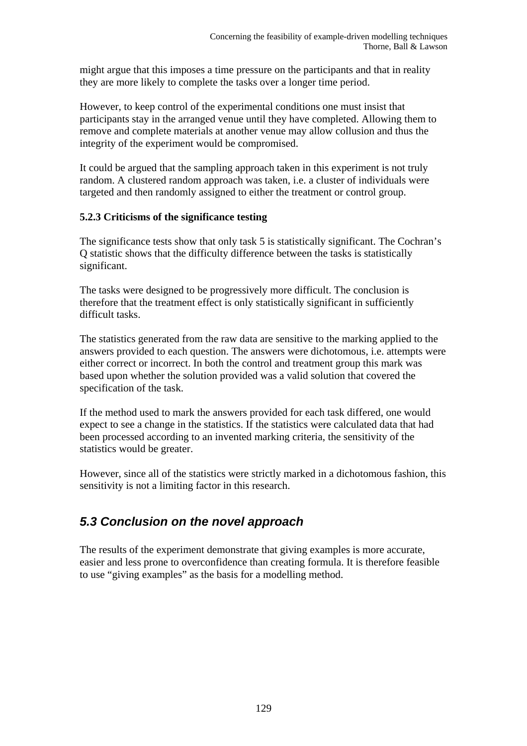might argue that this imposes a time pressure on the participants and that in reality they are more likely to complete the tasks over a longer time period.

However, to keep control of the experimental conditions one must insist that participants stay in the arranged venue until they have completed. Allowing them to remove and complete materials at another venue may allow collusion and thus the integrity of the experiment would be compromised.

It could be argued that the sampling approach taken in this experiment is not truly random. A clustered random approach was taken, i.e. a cluster of individuals were targeted and then randomly assigned to either the treatment or control group.

### **5.2.3 Criticisms of the significance testing**

The significance tests show that only task 5 is statistically significant. The Cochran's Q statistic shows that the difficulty difference between the tasks is statistically significant.

The tasks were designed to be progressively more difficult. The conclusion is therefore that the treatment effect is only statistically significant in sufficiently difficult tasks.

The statistics generated from the raw data are sensitive to the marking applied to the answers provided to each question. The answers were dichotomous, i.e. attempts were either correct or incorrect. In both the control and treatment group this mark was based upon whether the solution provided was a valid solution that covered the specification of the task.

If the method used to mark the answers provided for each task differed, one would expect to see a change in the statistics. If the statistics were calculated data that had been processed according to an invented marking criteria, the sensitivity of the statistics would be greater.

However, since all of the statistics were strictly marked in a dichotomous fashion, this sensitivity is not a limiting factor in this research.

## *5.3 Conclusion on the novel approach*

The results of the experiment demonstrate that giving examples is more accurate, easier and less prone to overconfidence than creating formula. It is therefore feasible to use "giving examples" as the basis for a modelling method.